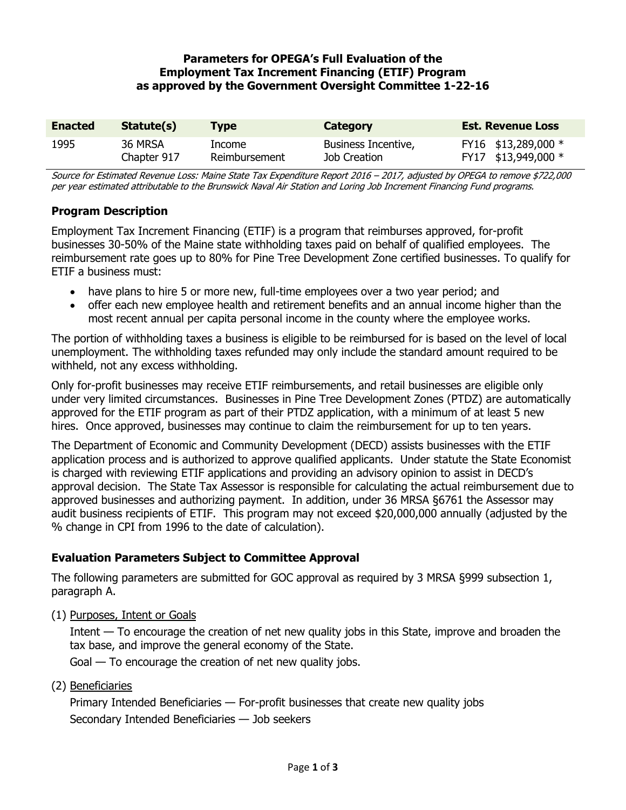### **Parameters for OPEGA's Full Evaluation of the Employment Tax Increment Financing (ETIF) Program as approved by the Government Oversight Committee 1-22-16**

| <b>Enacted</b> | Statute(s)  | Tvpe          | Category            | <b>Est. Revenue Loss</b> |
|----------------|-------------|---------------|---------------------|--------------------------|
| 1995           | 36 MRSA     | Income        | Business Incentive, | FY16 \$13,289,000 *      |
|                | Chapter 917 | Reimbursement | Job Creation        | FY17 \$13,949,000 *      |

Source for Estimated Revenue Loss: Maine State Tax Expenditure Report 2016 – 2017, adjusted by OPEGA to remove \$722,000 per year estimated attributable to the Brunswick Naval Air Station and Loring Job Increment Financing Fund programs.

# **Program Description**

Employment Tax Increment Financing (ETIF) is a program that reimburses approved, for-profit businesses 30-50% of the Maine state withholding taxes paid on behalf of qualified employees. The reimbursement rate goes up to 80% for Pine Tree Development Zone certified businesses. To qualify for ETIF a business must:

- have plans to hire 5 or more new, full-time employees over a two year period; and
- offer each new employee health and retirement benefits and an annual income higher than the most recent annual per capita personal income in the county where the employee works.

The portion of withholding taxes a business is eligible to be reimbursed for is based on the level of local unemployment. The withholding taxes refunded may only include the standard amount required to be withheld, not any excess withholding.

Only for-profit businesses may receive ETIF reimbursements, and retail businesses are eligible only under very limited circumstances. Businesses in Pine Tree Development Zones (PTDZ) are automatically approved for the ETIF program as part of their PTDZ application, with a minimum of at least 5 new hires. Once approved, businesses may continue to claim the reimbursement for up to ten years.

The Department of Economic and Community Development (DECD) assists businesses with the ETIF application process and is authorized to approve qualified applicants. Under statute the State Economist is charged with reviewing ETIF applications and providing an advisory opinion to assist in DECD's approval decision. The State Tax Assessor is responsible for calculating the actual reimbursement due to approved businesses and authorizing payment. In addition, under 36 MRSA §6761 the Assessor may audit business recipients of ETIF. This program may not exceed \$20,000,000 annually (adjusted by the % change in CPI from 1996 to the date of calculation).

# **Evaluation Parameters Subject to Committee Approval**

The following parameters are submitted for GOC approval as required by 3 MRSA §999 subsection 1, paragraph A.

(1) Purposes, Intent or Goals

Intent — To encourage the creation of net new quality jobs in this State, improve and broaden the tax base, and improve the general economy of the State.

Goal — To encourage the creation of net new quality jobs.

(2) Beneficiaries

Primary Intended Beneficiaries — For-profit businesses that create new quality jobs Secondary Intended Beneficiaries — Job seekers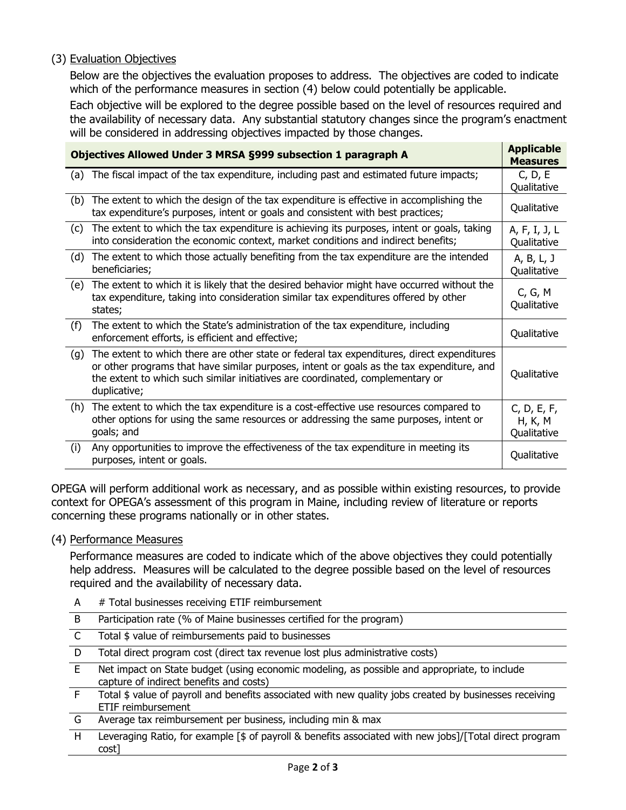### (3) Evaluation Objectives

Below are the objectives the evaluation proposes to address. The objectives are coded to indicate which of the performance measures in section (4) below could potentially be applicable.

Each objective will be explored to the degree possible based on the level of resources required and the availability of necessary data. Any substantial statutory changes since the program's enactment will be considered in addressing objectives impacted by those changes.

| Objectives Allowed Under 3 MRSA §999 subsection 1 paragraph A |                                                                                                                                                                                                                                                                                           |                                       |  |
|---------------------------------------------------------------|-------------------------------------------------------------------------------------------------------------------------------------------------------------------------------------------------------------------------------------------------------------------------------------------|---------------------------------------|--|
| (a)                                                           | The fiscal impact of the tax expenditure, including past and estimated future impacts;                                                                                                                                                                                                    | C, D, E<br>Qualitative                |  |
| (b)                                                           | The extent to which the design of the tax expenditure is effective in accomplishing the<br>tax expenditure's purposes, intent or goals and consistent with best practices;                                                                                                                | Qualitative                           |  |
| (c)                                                           | The extent to which the tax expenditure is achieving its purposes, intent or goals, taking<br>into consideration the economic context, market conditions and indirect benefits;                                                                                                           | A, F, I, J, L<br>Qualitative          |  |
| (d)                                                           | The extent to which those actually benefiting from the tax expenditure are the intended<br>beneficiaries;                                                                                                                                                                                 | A, B, L, J<br>Qualitative             |  |
| (e)                                                           | The extent to which it is likely that the desired behavior might have occurred without the<br>tax expenditure, taking into consideration similar tax expenditures offered by other<br>states;                                                                                             | C, G, M<br>Qualitative                |  |
| (f)                                                           | The extent to which the State's administration of the tax expenditure, including<br>enforcement efforts, is efficient and effective;                                                                                                                                                      | Qualitative                           |  |
| (g)                                                           | The extent to which there are other state or federal tax expenditures, direct expenditures<br>or other programs that have similar purposes, intent or goals as the tax expenditure, and<br>the extent to which such similar initiatives are coordinated, complementary or<br>duplicative; | Qualitative                           |  |
| (h)                                                           | The extent to which the tax expenditure is a cost-effective use resources compared to<br>other options for using the same resources or addressing the same purposes, intent or<br>goals; and                                                                                              | C, D, E, F,<br>H, K, M<br>Qualitative |  |
| (i)                                                           | Any opportunities to improve the effectiveness of the tax expenditure in meeting its<br>purposes, intent or goals.                                                                                                                                                                        | Qualitative                           |  |

OPEGA will perform additional work as necessary, and as possible within existing resources, to provide context for OPEGA's assessment of this program in Maine, including review of literature or reports concerning these programs nationally or in other states.

#### (4) Performance Measures

Performance measures are coded to indicate which of the above objectives they could potentially help address. Measures will be calculated to the degree possible based on the level of resources required and the availability of necessary data.

- A # Total businesses receiving ETIF reimbursement
- B Participation rate (% of Maine businesses certified for the program)
- C Total \$ value of reimbursements paid to businesses
- D Total direct program cost (direct tax revenue lost plus administrative costs)
- E Net impact on State budget (using economic modeling, as possible and appropriate, to include capture of indirect benefits and costs)
- F Total \$ value of payroll and benefits associated with new quality jobs created by businesses receiving ETIF reimbursement
- G Average tax reimbursement per business, including min & max
- H Leveraging Ratio, for example [\$ of payroll & benefits associated with new jobs]/[Total direct program cost]